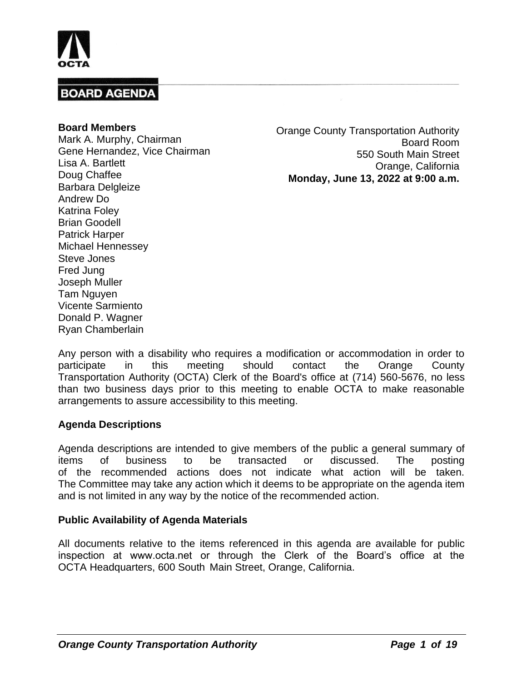

#### **Board Members**

Mark A. Murphy, Chairman Gene Hernandez, Vice Chairman Lisa A. Bartlett Doug Chaffee Barbara Delgleize Andrew Do Katrina Foley Brian Goodell Patrick Harper Michael Hennessey Steve Jones Fred Jung Joseph Muller Tam Nguyen Vicente Sarmiento Donald P. Wagner Ryan Chamberlain

Orange County Transportation Authority Board Room 550 South Main Street Orange, California **Monday, June 13, 2022 at 9:00 a.m.**

Any person with a disability who requires a modification or accommodation in order to participate in this meeting should contact the Orange County Transportation Authority (OCTA) Clerk of the Board's office at (714) 560-5676, no less than two business days prior to this meeting to enable OCTA to make reasonable arrangements to assure accessibility to this meeting.

### **Agenda Descriptions**

Agenda descriptions are intended to give members of the public a general summary of items of business to be transacted or discussed. The posting of the recommended actions does not indicate what action will be taken. The Committee may take any action which it deems to be appropriate on the agenda item and is not limited in any way by the notice of the recommended action.

### **Public Availability of Agenda Materials**

All documents relative to the items referenced in this agenda are available for public inspection at www.octa.net or through the Clerk of the Board's office at the OCTA Headquarters, 600 South Main Street, Orange, California.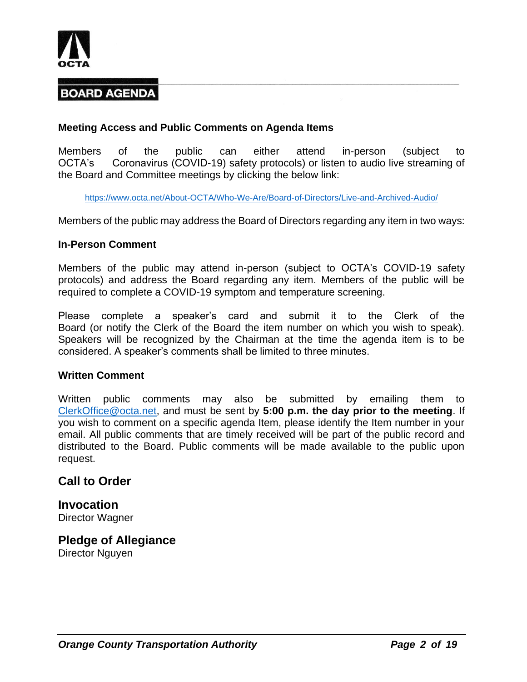

### **Meeting Access and Public Comments on Agenda Items**

Members of the public can either attend in-person (subject to OCTA's Coronavirus (COVID-19) safety protocols) or listen to audio live streaming of the Board and Committee meetings by clicking the below link:

<https://www.octa.net/About-OCTA/Who-We-Are/Board-of-Directors/Live-and-Archived-Audio/>

Members of the public may address the Board of Directors regarding any item in two ways:

### **In-Person Comment**

Members of the public may attend in-person (subject to OCTA's COVID-19 safety protocols) and address the Board regarding any item. Members of the public will be required to complete a COVID-19 symptom and temperature screening.

Please complete a speaker's card and submit it to the Clerk of the Board (or notify the Clerk of the Board the item number on which you wish to speak). Speakers will be recognized by the Chairman at the time the agenda item is to be considered. A speaker's comments shall be limited to three minutes.

### **Written Comment**

Written public comments may also be submitted by emailing them to [ClerkOffice@octa.net,](mailto:ClerkOffice@octa.net) and must be sent by **5:00 p.m. the day prior to the meeting**. If you wish to comment on a specific agenda Item, please identify the Item number in your email. All public comments that are timely received will be part of the public record and distributed to the Board. Public comments will be made available to the public upon request.

## **Call to Order**

**Invocation** Director Wagner

**Pledge of Allegiance** Director Nguyen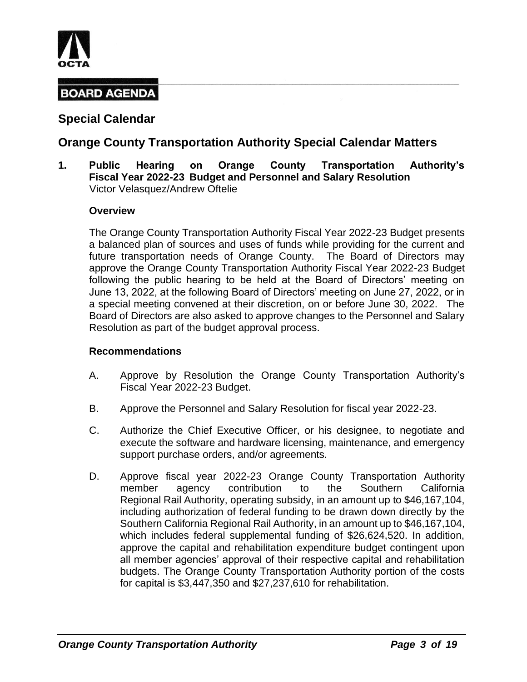

## **Special Calendar**

## **Orange County Transportation Authority Special Calendar Matters**

**1. Public Hearing on Orange County Transportation Authority's Fiscal Year 2022-23 Budget and Personnel and Salary Resolution** Victor Velasquez/Andrew Oftelie

### **Overview**

The Orange County Transportation Authority Fiscal Year 2022-23 Budget presents a balanced plan of sources and uses of funds while providing for the current and future transportation needs of Orange County. The Board of Directors may approve the Orange County Transportation Authority Fiscal Year 2022-23 Budget following the public hearing to be held at the Board of Directors' meeting on June 13, 2022, at the following Board of Directors' meeting on June 27, 2022, or in a special meeting convened at their discretion, on or before June 30, 2022. The Board of Directors are also asked to approve changes to the Personnel and Salary Resolution as part of the budget approval process.

- A. Approve by Resolution the Orange County Transportation Authority's Fiscal Year 2022-23 Budget.
- B. Approve the Personnel and Salary Resolution for fiscal year 2022-23.
- C. Authorize the Chief Executive Officer, or his designee, to negotiate and execute the software and hardware licensing, maintenance, and emergency support purchase orders, and/or agreements.
- D. Approve fiscal year 2022-23 Orange County Transportation Authority member agency contribution to the Southern California Regional Rail Authority, operating subsidy, in an amount up to \$46,167,104, including authorization of federal funding to be drawn down directly by the Southern California Regional Rail Authority, in an amount up to \$46,167,104, which includes federal supplemental funding of \$26,624,520. In addition, approve the capital and rehabilitation expenditure budget contingent upon all member agencies' approval of their respective capital and rehabilitation budgets. The Orange County Transportation Authority portion of the costs for capital is \$3,447,350 and \$27,237,610 for rehabilitation.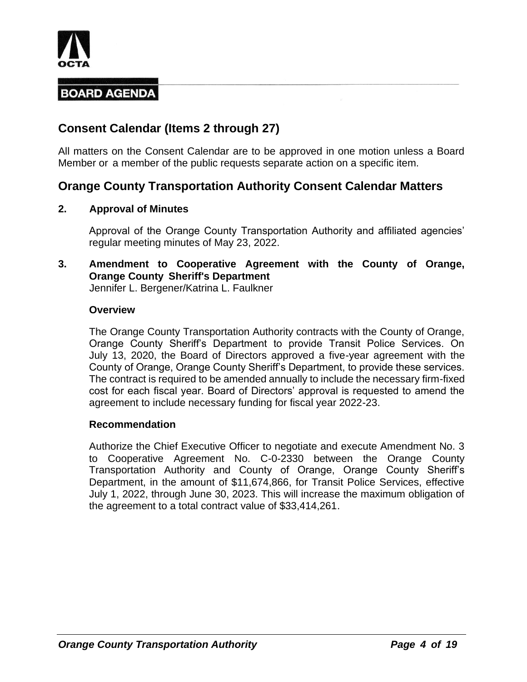

## **Consent Calendar (Items 2 through 27)**

All matters on the Consent Calendar are to be approved in one motion unless a Board Member or a member of the public requests separate action on a specific item.

## **Orange County Transportation Authority Consent Calendar Matters**

### **2. Approval of Minutes**

Approval of the Orange County Transportation Authority and affiliated agencies' regular meeting minutes of May 23, 2022.

## **3. Amendment to Cooperative Agreement with the County of Orange, Orange County Sheriff's Department**

Jennifer L. Bergener/Katrina L. Faulkner

### **Overview**

The Orange County Transportation Authority contracts with the County of Orange, Orange County Sheriff's Department to provide Transit Police Services. On July 13, 2020, the Board of Directors approved a five-year agreement with the County of Orange, Orange County Sheriff's Department, to provide these services. The contract is required to be amended annually to include the necessary firm-fixed cost for each fiscal year. Board of Directors' approval is requested to amend the agreement to include necessary funding for fiscal year 2022-23.

### **Recommendation**

Authorize the Chief Executive Officer to negotiate and execute Amendment No. 3 to Cooperative Agreement No. C-0-2330 between the Orange County Transportation Authority and County of Orange, Orange County Sheriff's Department, in the amount of \$11,674,866, for Transit Police Services, effective July 1, 2022, through June 30, 2023. This will increase the maximum obligation of the agreement to a total contract value of \$33,414,261.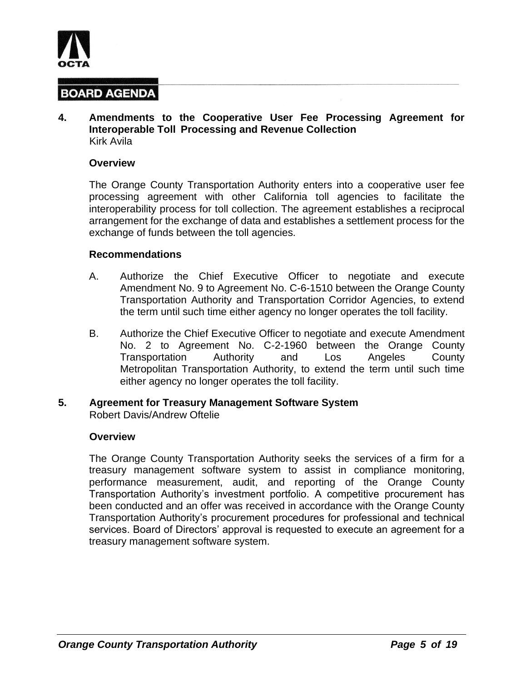

**4. Amendments to the Cooperative User Fee Processing Agreement for Interoperable Toll Processing and Revenue Collection** Kirk Avila

#### **Overview**

The Orange County Transportation Authority enters into a cooperative user fee processing agreement with other California toll agencies to facilitate the interoperability process for toll collection. The agreement establishes a reciprocal arrangement for the exchange of data and establishes a settlement process for the exchange of funds between the toll agencies.

#### **Recommendations**

- A. Authorize the Chief Executive Officer to negotiate and execute Amendment No. 9 to Agreement No. C-6-1510 between the Orange County Transportation Authority and Transportation Corridor Agencies, to extend the term until such time either agency no longer operates the toll facility.
- B. Authorize the Chief Executive Officer to negotiate and execute Amendment No. 2 to Agreement No. C-2-1960 between the Orange County Transportation Authority and Los Angeles County Metropolitan Transportation Authority, to extend the term until such time either agency no longer operates the toll facility.
- **5. Agreement for Treasury Management Software System** Robert Davis/Andrew Oftelie

#### **Overview**

The Orange County Transportation Authority seeks the services of a firm for a treasury management software system to assist in compliance monitoring, performance measurement, audit, and reporting of the Orange County Transportation Authority's investment portfolio. A competitive procurement has been conducted and an offer was received in accordance with the Orange County Transportation Authority's procurement procedures for professional and technical services. Board of Directors' approval is requested to execute an agreement for a treasury management software system.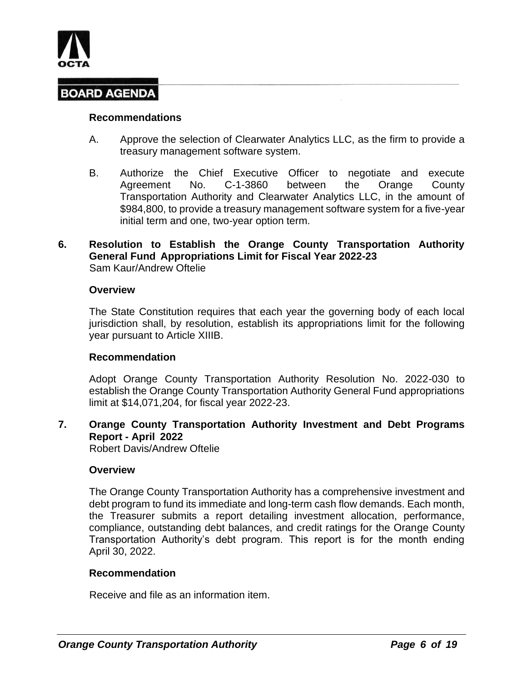

#### **Recommendations**

- A. Approve the selection of Clearwater Analytics LLC, as the firm to provide a treasury management software system.
- B. Authorize the Chief Executive Officer to negotiate and execute Agreement No. C-1-3860 between the Orange County Transportation Authority and Clearwater Analytics LLC, in the amount of \$984,800, to provide a treasury management software system for a five-year initial term and one, two-year option term.

#### **6. Resolution to Establish the Orange County Transportation Authority General Fund Appropriations Limit for Fiscal Year 2022-23** Sam Kaur/Andrew Oftelie

#### **Overview**

The State Constitution requires that each year the governing body of each local jurisdiction shall, by resolution, establish its appropriations limit for the following year pursuant to Article XIIIB.

### **Recommendation**

Adopt Orange County Transportation Authority Resolution No. 2022-030 to establish the Orange County Transportation Authority General Fund appropriations limit at \$14,071,204, for fiscal year 2022-23.

### **7. Orange County Transportation Authority Investment and Debt Programs Report - April 2022**

Robert Davis/Andrew Oftelie

### **Overview**

The Orange County Transportation Authority has a comprehensive investment and debt program to fund its immediate and long-term cash flow demands. Each month, the Treasurer submits a report detailing investment allocation, performance, compliance, outstanding debt balances, and credit ratings for the Orange County Transportation Authority's debt program. This report is for the month ending April 30, 2022.

#### **Recommendation**

Receive and file as an information item.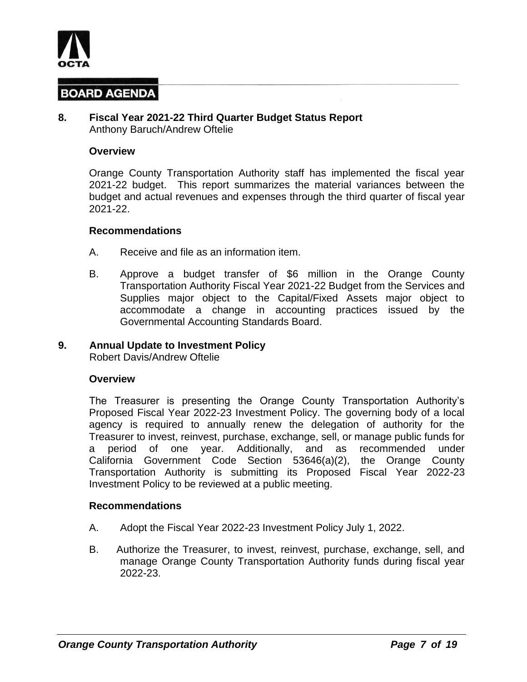

#### **8. Fiscal Year 2021-22 Third Quarter Budget Status Report** Anthony Baruch/Andrew Oftelie

#### **Overview**

Orange County Transportation Authority staff has implemented the fiscal year 2021-22 budget. This report summarizes the material variances between the budget and actual revenues and expenses through the third quarter of fiscal year 2021-22.

#### **Recommendations**

- A. Receive and file as an information item.
- B. Approve a budget transfer of \$6 million in the Orange County Transportation Authority Fiscal Year 2021-22 Budget from the Services and Supplies major object to the Capital/Fixed Assets major object to accommodate a change in accounting practices issued by the Governmental Accounting Standards Board.

#### **9. Annual Update to Investment Policy**

Robert Davis/Andrew Oftelie

#### **Overview**

The Treasurer is presenting the Orange County Transportation Authority's Proposed Fiscal Year 2022-23 Investment Policy. The governing body of a local agency is required to annually renew the delegation of authority for the Treasurer to invest, reinvest, purchase, exchange, sell, or manage public funds for a period of one year. Additionally, and as recommended under California Government Code Section 53646(a)(2), the Orange County Transportation Authority is submitting its Proposed Fiscal Year 2022-23 Investment Policy to be reviewed at a public meeting.

- A. Adopt the Fiscal Year 2022-23 Investment Policy July 1, 2022.
- B. Authorize the Treasurer, to invest, reinvest, purchase, exchange, sell, and manage Orange County Transportation Authority funds during fiscal year 2022-23.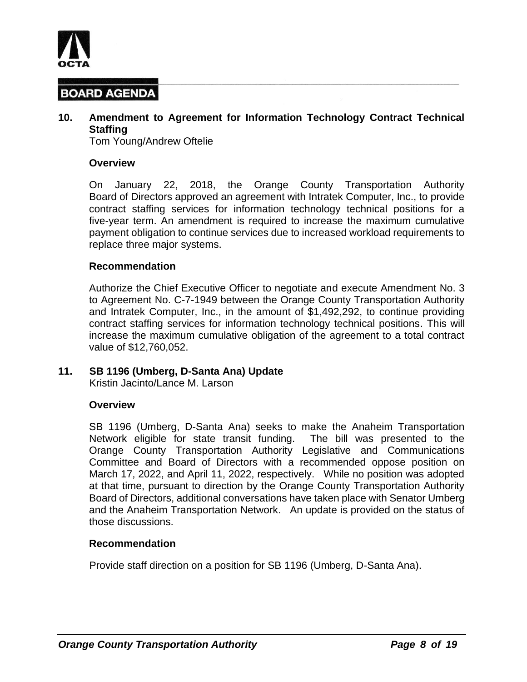

## **10. Amendment to Agreement for Information Technology Contract Technical Staffing**

Tom Young/Andrew Oftelie

#### **Overview**

On January 22, 2018, the Orange County Transportation Authority Board of Directors approved an agreement with Intratek Computer, Inc., to provide contract staffing services for information technology technical positions for a five-year term. An amendment is required to increase the maximum cumulative payment obligation to continue services due to increased workload requirements to replace three major systems.

#### **Recommendation**

Authorize the Chief Executive Officer to negotiate and execute Amendment No. 3 to Agreement No. C-7-1949 between the Orange County Transportation Authority and Intratek Computer, Inc., in the amount of \$1,492,292, to continue providing contract staffing services for information technology technical positions. This will increase the maximum cumulative obligation of the agreement to a total contract value of \$12,760,052.

### **11. SB 1196 (Umberg, D-Santa Ana) Update**

Kristin Jacinto/Lance M. Larson

#### **Overview**

SB 1196 (Umberg, D-Santa Ana) seeks to make the Anaheim Transportation Network eligible for state transit funding. The bill was presented to the Orange County Transportation Authority Legislative and Communications Committee and Board of Directors with a recommended oppose position on March 17, 2022, and April 11, 2022, respectively. While no position was adopted at that time, pursuant to direction by the Orange County Transportation Authority Board of Directors, additional conversations have taken place with Senator Umberg and the Anaheim Transportation Network. An update is provided on the status of those discussions.

#### **Recommendation**

Provide staff direction on a position for SB 1196 (Umberg, D-Santa Ana).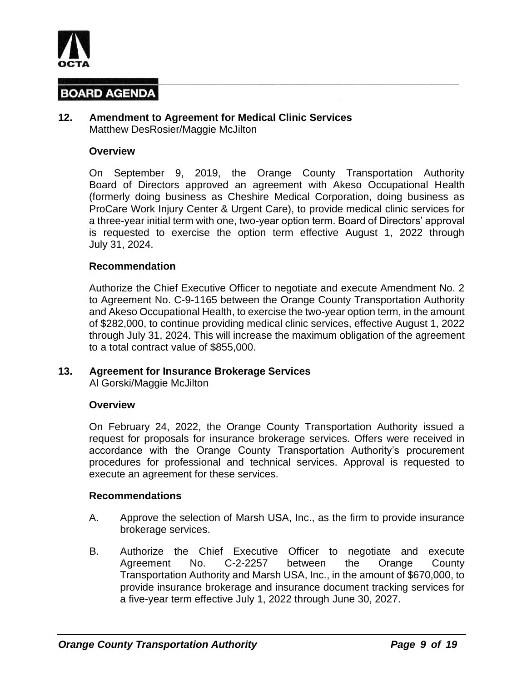

#### **12. Amendment to Agreement for Medical Clinic Services** Matthew DesRosier/Maggie McJilton

#### **Overview**

On September 9, 2019, the Orange County Transportation Authority Board of Directors approved an agreement with Akeso Occupational Health (formerly doing business as Cheshire Medical Corporation, doing business as ProCare Work Injury Center & Urgent Care), to provide medical clinic services for a three-year initial term with one, two-year option term. Board of Directors' approval is requested to exercise the option term effective August 1, 2022 through July 31, 2024.

#### **Recommendation**

Authorize the Chief Executive Officer to negotiate and execute Amendment No. 2 to Agreement No. C-9-1165 between the Orange County Transportation Authority and Akeso Occupational Health, to exercise the two-year option term, in the amount of \$282,000, to continue providing medical clinic services, effective August 1, 2022 through July 31, 2024. This will increase the maximum obligation of the agreement to a total contract value of \$855,000.

#### **13. Agreement for Insurance Brokerage Services**

Al Gorski/Maggie McJilton

#### **Overview**

On February 24, 2022, the Orange County Transportation Authority issued a request for proposals for insurance brokerage services. Offers were received in accordance with the Orange County Transportation Authority's procurement procedures for professional and technical services. Approval is requested to execute an agreement for these services.

- A. Approve the selection of Marsh USA, Inc., as the firm to provide insurance brokerage services.
- B. Authorize the Chief Executive Officer to negotiate and execute Agreement No. C-2-2257 between the Orange County Transportation Authority and Marsh USA, Inc., in the amount of \$670,000, to provide insurance brokerage and insurance document tracking services for a five-year term effective July 1, 2022 through June 30, 2027.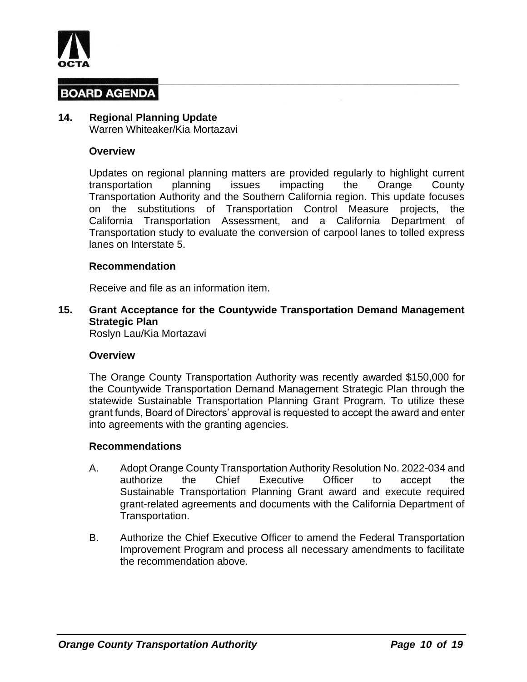

## **14. Regional Planning Update**

Warren Whiteaker/Kia Mortazavi

#### **Overview**

Updates on regional planning matters are provided regularly to highlight current transportation planning issues impacting the Orange County Transportation Authority and the Southern California region. This update focuses on the substitutions of Transportation Control Measure projects, the California Transportation Assessment, and a California Department of Transportation study to evaluate the conversion of carpool lanes to tolled express lanes on Interstate 5.

#### **Recommendation**

Receive and file as an information item.

**15. Grant Acceptance for the Countywide Transportation Demand Management Strategic Plan**

Roslyn Lau/Kia Mortazavi

#### **Overview**

The Orange County Transportation Authority was recently awarded \$150,000 for the Countywide Transportation Demand Management Strategic Plan through the statewide Sustainable Transportation Planning Grant Program. To utilize these grant funds, Board of Directors' approval is requested to accept the award and enter into agreements with the granting agencies.

- A. Adopt Orange County Transportation Authority Resolution No. 2022-034 and authorize the Chief Executive Officer to accept the Sustainable Transportation Planning Grant award and execute required grant-related agreements and documents with the California Department of Transportation.
- B. Authorize the Chief Executive Officer to amend the Federal Transportation Improvement Program and process all necessary amendments to facilitate the recommendation above.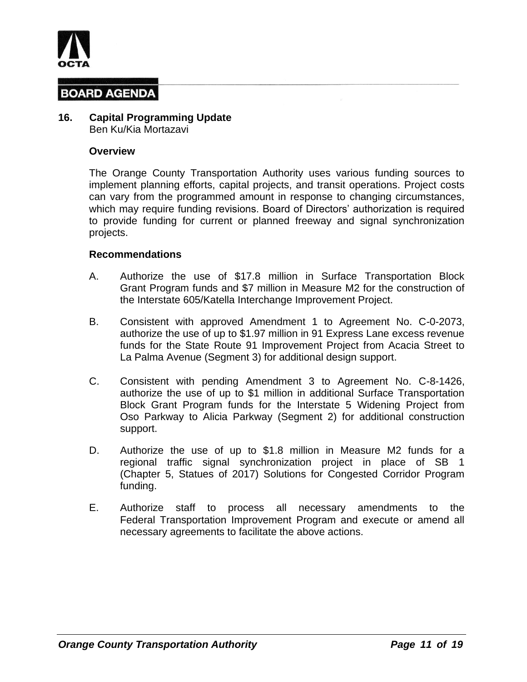

# **16. Capital Programming Update**

Ben Ku/Kia Mortazavi

### **Overview**

The Orange County Transportation Authority uses various funding sources to implement planning efforts, capital projects, and transit operations. Project costs can vary from the programmed amount in response to changing circumstances, which may require funding revisions. Board of Directors' authorization is required to provide funding for current or planned freeway and signal synchronization projects.

- A. Authorize the use of \$17.8 million in Surface Transportation Block Grant Program funds and \$7 million in Measure M2 for the construction of the Interstate 605/Katella Interchange Improvement Project.
- B. Consistent with approved Amendment 1 to Agreement No. C-0-2073, authorize the use of up to \$1.97 million in 91 Express Lane excess revenue funds for the State Route 91 Improvement Project from Acacia Street to La Palma Avenue (Segment 3) for additional design support.
- C. Consistent with pending Amendment 3 to Agreement No. C-8-1426, authorize the use of up to \$1 million in additional Surface Transportation Block Grant Program funds for the Interstate 5 Widening Project from Oso Parkway to Alicia Parkway (Segment 2) for additional construction support.
- D. Authorize the use of up to \$1.8 million in Measure M2 funds for a regional traffic signal synchronization project in place of SB 1 (Chapter 5, Statues of 2017) Solutions for Congested Corridor Program funding.
- E. Authorize staff to process all necessary amendments to the Federal Transportation Improvement Program and execute or amend all necessary agreements to facilitate the above actions.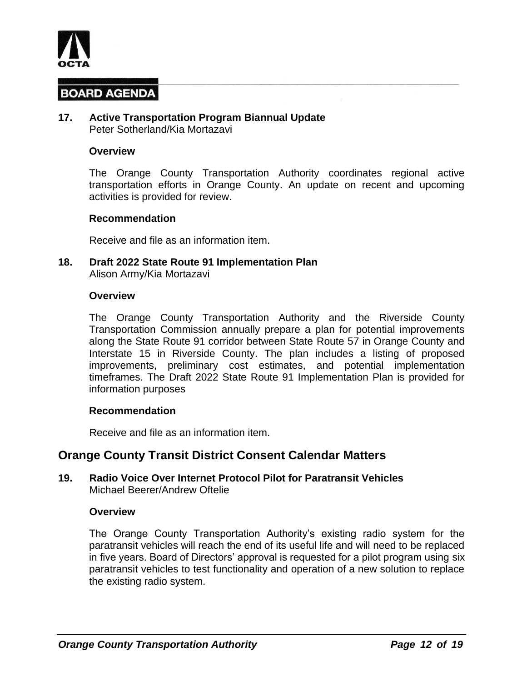

#### **17. Active Transportation Program Biannual Update** Peter Sotherland/Kia Mortazavi

#### **Overview**

The Orange County Transportation Authority coordinates regional active transportation efforts in Orange County. An update on recent and upcoming activities is provided for review.

#### **Recommendation**

Receive and file as an information item.

**18. Draft 2022 State Route 91 Implementation Plan** Alison Army/Kia Mortazavi

#### **Overview**

The Orange County Transportation Authority and the Riverside County Transportation Commission annually prepare a plan for potential improvements along the State Route 91 corridor between State Route 57 in Orange County and Interstate 15 in Riverside County. The plan includes a listing of proposed improvements, preliminary cost estimates, and potential implementation timeframes. The Draft 2022 State Route 91 Implementation Plan is provided for information purposes

### **Recommendation**

Receive and file as an information item.

## **Orange County Transit District Consent Calendar Matters**

#### **19. Radio Voice Over Internet Protocol Pilot for Paratransit Vehicles** Michael Beerer/Andrew Oftelie

#### **Overview**

The Orange County Transportation Authority's existing radio system for the paratransit vehicles will reach the end of its useful life and will need to be replaced in five years. Board of Directors' approval is requested for a pilot program using six paratransit vehicles to test functionality and operation of a new solution to replace the existing radio system.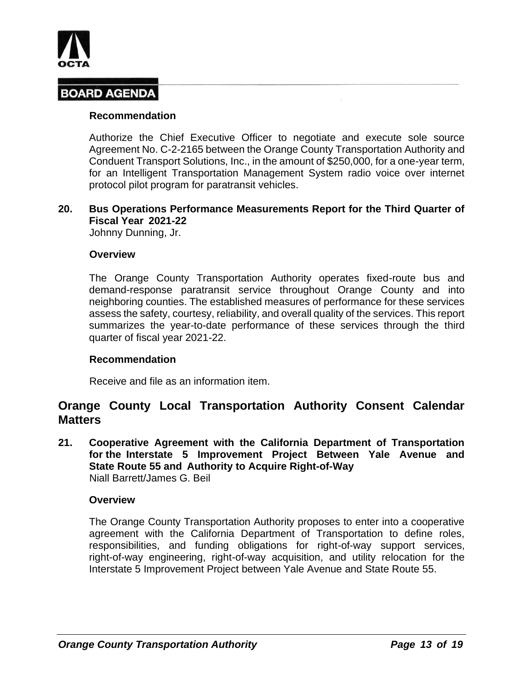

#### **Recommendation**

Authorize the Chief Executive Officer to negotiate and execute sole source Agreement No. C-2-2165 between the Orange County Transportation Authority and Conduent Transport Solutions, Inc., in the amount of \$250,000, for a one-year term, for an Intelligent Transportation Management System radio voice over internet protocol pilot program for paratransit vehicles.

### **20. Bus Operations Performance Measurements Report for the Third Quarter of Fiscal Year 2021-22**

Johnny Dunning, Jr.

#### **Overview**

The Orange County Transportation Authority operates fixed-route bus and demand-response paratransit service throughout Orange County and into neighboring counties. The established measures of performance for these services assess the safety, courtesy, reliability, and overall quality of the services. This report summarizes the year-to-date performance of these services through the third quarter of fiscal year 2021-22.

### **Recommendation**

Receive and file as an information item.

## **Orange County Local Transportation Authority Consent Calendar Matters**

**21. Cooperative Agreement with the California Department of Transportation for the Interstate 5 Improvement Project Between Yale Avenue and State Route 55 and Authority to Acquire Right-of-Way** Niall Barrett/James G. Beil

### **Overview**

The Orange County Transportation Authority proposes to enter into a cooperative agreement with the California Department of Transportation to define roles, responsibilities, and funding obligations for right-of-way support services, right-of-way engineering, right-of-way acquisition, and utility relocation for the Interstate 5 Improvement Project between Yale Avenue and State Route 55.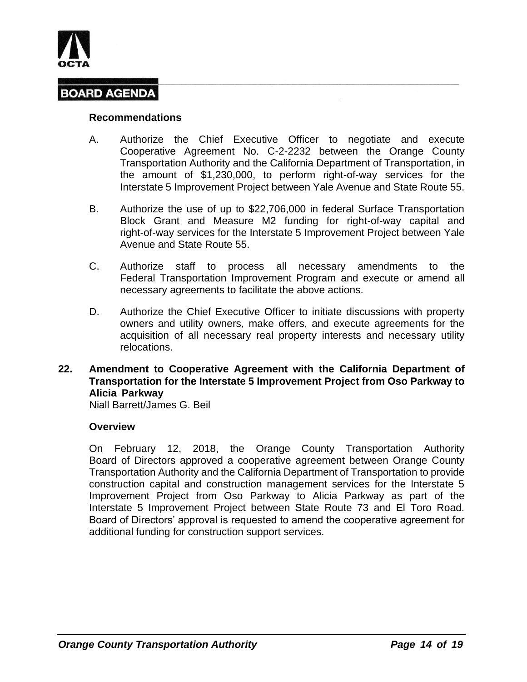

#### **Recommendations**

- A. Authorize the Chief Executive Officer to negotiate and execute Cooperative Agreement No. C-2-2232 between the Orange County Transportation Authority and the California Department of Transportation, in the amount of \$1,230,000, to perform right-of-way services for the Interstate 5 Improvement Project between Yale Avenue and State Route 55.
- B. Authorize the use of up to \$22,706,000 in federal Surface Transportation Block Grant and Measure M2 funding for right-of-way capital and right-of-way services for the Interstate 5 Improvement Project between Yale Avenue and State Route 55.
- C. Authorize staff to process all necessary amendments to the Federal Transportation Improvement Program and execute or amend all necessary agreements to facilitate the above actions.
- D. Authorize the Chief Executive Officer to initiate discussions with property owners and utility owners, make offers, and execute agreements for the acquisition of all necessary real property interests and necessary utility relocations.

### **22. Amendment to Cooperative Agreement with the California Department of Transportation for the Interstate 5 Improvement Project from Oso Parkway to Alicia Parkway**

Niall Barrett/James G. Beil

### **Overview**

On February 12, 2018, the Orange County Transportation Authority Board of Directors approved a cooperative agreement between Orange County Transportation Authority and the California Department of Transportation to provide construction capital and construction management services for the Interstate 5 Improvement Project from Oso Parkway to Alicia Parkway as part of the Interstate 5 Improvement Project between State Route 73 and El Toro Road. Board of Directors' approval is requested to amend the cooperative agreement for additional funding for construction support services.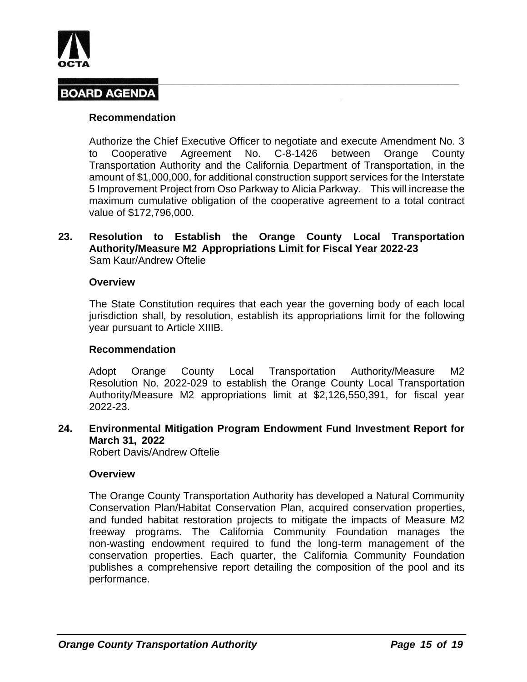

### **Recommendation**

Authorize the Chief Executive Officer to negotiate and execute Amendment No. 3 to Cooperative Agreement No. C-8-1426 between Orange County Transportation Authority and the California Department of Transportation, in the amount of \$1,000,000, for additional construction support services for the Interstate 5 Improvement Project from Oso Parkway to Alicia Parkway. This will increase the maximum cumulative obligation of the cooperative agreement to a total contract value of \$172,796,000.

### **23. Resolution to Establish the Orange County Local Transportation Authority/Measure M2 Appropriations Limit for Fiscal Year 2022-23** Sam Kaur/Andrew Oftelie

#### **Overview**

The State Constitution requires that each year the governing body of each local jurisdiction shall, by resolution, establish its appropriations limit for the following year pursuant to Article XIIIB.

### **Recommendation**

Adopt Orange County Local Transportation Authority/Measure M2 Resolution No. 2022-029 to establish the Orange County Local Transportation Authority/Measure M2 appropriations limit at \$2,126,550,391, for fiscal year 2022-23.

### **24. Environmental Mitigation Program Endowment Fund Investment Report for March 31, 2022**

Robert Davis/Andrew Oftelie

#### **Overview**

The Orange County Transportation Authority has developed a Natural Community Conservation Plan/Habitat Conservation Plan, acquired conservation properties, and funded habitat restoration projects to mitigate the impacts of Measure M2 freeway programs. The California Community Foundation manages the non-wasting endowment required to fund the long-term management of the conservation properties. Each quarter, the California Community Foundation publishes a comprehensive report detailing the composition of the pool and its performance.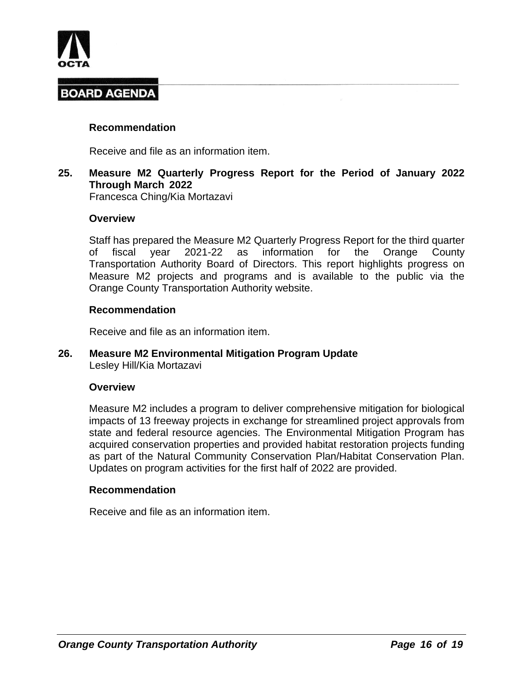

### **Recommendation**

Receive and file as an information item.

## **25. Measure M2 Quarterly Progress Report for the Period of January 2022 Through March 2022**

Francesca Ching/Kia Mortazavi

#### **Overview**

Staff has prepared the Measure M2 Quarterly Progress Report for the third quarter of fiscal year 2021-22 as information for the Orange County Transportation Authority Board of Directors. This report highlights progress on Measure M2 projects and programs and is available to the public via the Orange County Transportation Authority website.

#### **Recommendation**

Receive and file as an information item.

#### **26. Measure M2 Environmental Mitigation Program Update** Lesley Hill/Kia Mortazavi

#### **Overview**

Measure M2 includes a program to deliver comprehensive mitigation for biological impacts of 13 freeway projects in exchange for streamlined project approvals from state and federal resource agencies. The Environmental Mitigation Program has acquired conservation properties and provided habitat restoration projects funding as part of the Natural Community Conservation Plan/Habitat Conservation Plan. Updates on program activities for the first half of 2022 are provided.

#### **Recommendation**

Receive and file as an information item.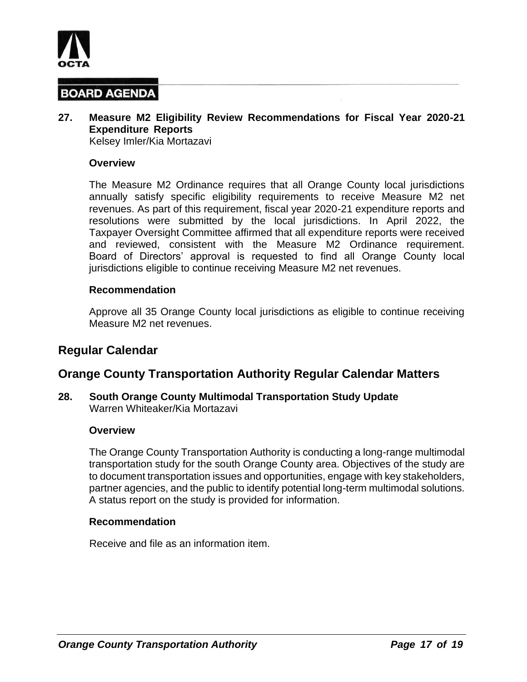

## **27. Measure M2 Eligibility Review Recommendations for Fiscal Year 2020-21 Expenditure Reports**

Kelsey Imler/Kia Mortazavi

#### **Overview**

The Measure M2 Ordinance requires that all Orange County local jurisdictions annually satisfy specific eligibility requirements to receive Measure M2 net revenues. As part of this requirement, fiscal year 2020-21 expenditure reports and resolutions were submitted by the local jurisdictions. In April 2022, the Taxpayer Oversight Committee affirmed that all expenditure reports were received and reviewed, consistent with the Measure M2 Ordinance requirement. Board of Directors' approval is requested to find all Orange County local jurisdictions eligible to continue receiving Measure M2 net revenues.

#### **Recommendation**

Approve all 35 Orange County local jurisdictions as eligible to continue receiving Measure M2 net revenues.

## **Regular Calendar**

## **Orange County Transportation Authority Regular Calendar Matters**

**28. South Orange County Multimodal Transportation Study Update** Warren Whiteaker/Kia Mortazavi

#### **Overview**

The Orange County Transportation Authority is conducting a long-range multimodal transportation study for the south Orange County area. Objectives of the study are to document transportation issues and opportunities, engage with key stakeholders, partner agencies, and the public to identify potential long-term multimodal solutions. A status report on the study is provided for information.

#### **Recommendation**

Receive and file as an information item.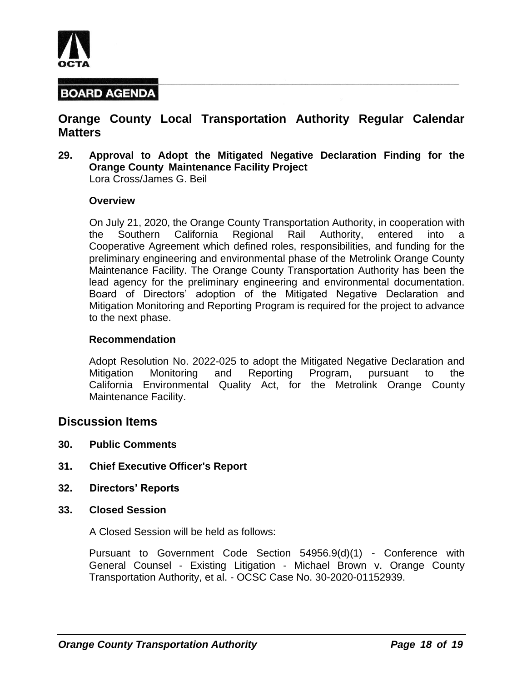

## **Orange County Local Transportation Authority Regular Calendar Matters**

**29. Approval to Adopt the Mitigated Negative Declaration Finding for the Orange County Maintenance Facility Project** Lora Cross/James G. Beil

#### **Overview**

On July 21, 2020, the Orange County Transportation Authority, in cooperation with the Southern California Regional Rail Authority, entered into a Cooperative Agreement which defined roles, responsibilities, and funding for the preliminary engineering and environmental phase of the Metrolink Orange County Maintenance Facility. The Orange County Transportation Authority has been the lead agency for the preliminary engineering and environmental documentation. Board of Directors' adoption of the Mitigated Negative Declaration and Mitigation Monitoring and Reporting Program is required for the project to advance to the next phase.

#### **Recommendation**

Adopt Resolution No. 2022-025 to adopt the Mitigated Negative Declaration and Mitigation Monitoring and Reporting Program, pursuant to the California Environmental Quality Act, for the Metrolink Orange County Maintenance Facility.

### **Discussion Items**

- **30. Public Comments**
- **31. Chief Executive Officer's Report**
- **32. Directors' Reports**
- **33. Closed Session**

A Closed Session will be held as follows:

Pursuant to Government Code Section 54956.9(d)(1) - Conference with General Counsel - Existing Litigation - Michael Brown v. Orange County Transportation Authority, et al. - OCSC Case No. 30-2020-01152939.